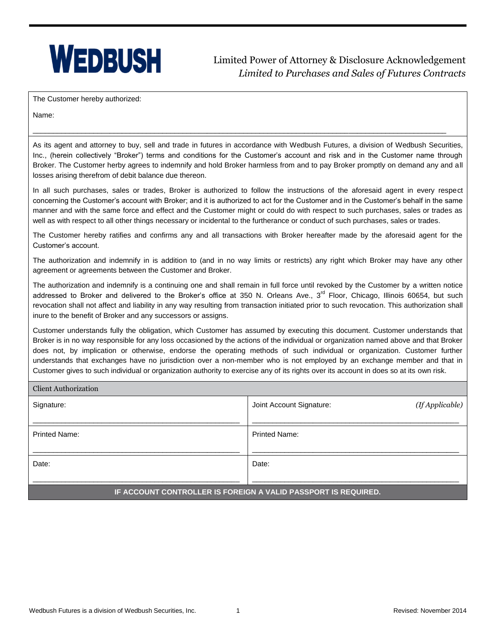## **WEDBUSH**

Limited Power of Attorney & Disclosure Acknowledgement *Limited to Purchases and Sales of Futures Contracts*

The Customer hereby authorized:

Name:

As its agent and attorney to buy, sell and trade in futures in accordance with Wedbush Futures, a division of Wedbush Securities, Inc., (herein collectively "Broker") terms and conditions for the Customer's account and risk and in the Customer name through Broker. The Customer herby agrees to indemnify and hold Broker harmless from and to pay Broker promptly on demand any and all losses arising therefrom of debit balance due thereon.

\_\_\_\_\_\_\_\_\_\_\_\_\_\_\_\_\_\_\_\_\_\_\_\_\_\_\_\_\_\_\_\_\_\_\_\_\_\_\_\_\_\_\_\_\_\_\_\_\_\_\_\_\_\_\_\_\_\_\_\_\_\_\_\_\_\_\_\_\_\_\_\_\_\_\_\_\_\_\_\_\_\_\_\_\_\_\_\_\_\_\_\_\_\_\_\_\_\_\_\_\_\_

In all such purchases, sales or trades, Broker is authorized to follow the instructions of the aforesaid agent in every respect concerning the Customer's account with Broker; and it is authorized to act for the Customer and in the Customer's behalf in the same manner and with the same force and effect and the Customer might or could do with respect to such purchases, sales or trades as well as with respect to all other things necessary or incidental to the furtherance or conduct of such purchases, sales or trades.

The Customer hereby ratifies and confirms any and all transactions with Broker hereafter made by the aforesaid agent for the Customer's account.

The authorization and indemnify in is addition to (and in no way limits or restricts) any right which Broker may have any other agreement or agreements between the Customer and Broker.

The authorization and indemnify is a continuing one and shall remain in full force until revoked by the Customer by a written notice addressed to Broker and delivered to the Broker's office at 350 N. Orleans Ave.,  $3<sup>rd</sup>$  Floor, Chicago, Illinois 60654, but such revocation shall not affect and liability in any way resulting from transaction initiated prior to such revocation. This authorization shall inure to the benefit of Broker and any successors or assigns.

Customer understands fully the obligation, which Customer has assumed by executing this document. Customer understands that Broker is in no way responsible for any loss occasioned by the actions of the individual or organization named above and that Broker does not, by implication or otherwise, endorse the operating methods of such individual or organization. Customer further understands that exchanges have no jurisdiction over a non-member who is not employed by an exchange member and that in Customer gives to such individual or organization authority to exercise any of its rights over its account in does so at its own risk.

| <b>Client Authorization</b>                                    |                                             |  |
|----------------------------------------------------------------|---------------------------------------------|--|
| Signature:                                                     | (If Applicable)<br>Joint Account Signature: |  |
|                                                                |                                             |  |
| <b>Printed Name:</b>                                           | <b>Printed Name:</b>                        |  |
|                                                                |                                             |  |
| Date:                                                          | Date:                                       |  |
|                                                                |                                             |  |
| IF ACCOUNT CONTROLLER IS FOREIGN A VALID PASSPORT IS REQUIRED. |                                             |  |